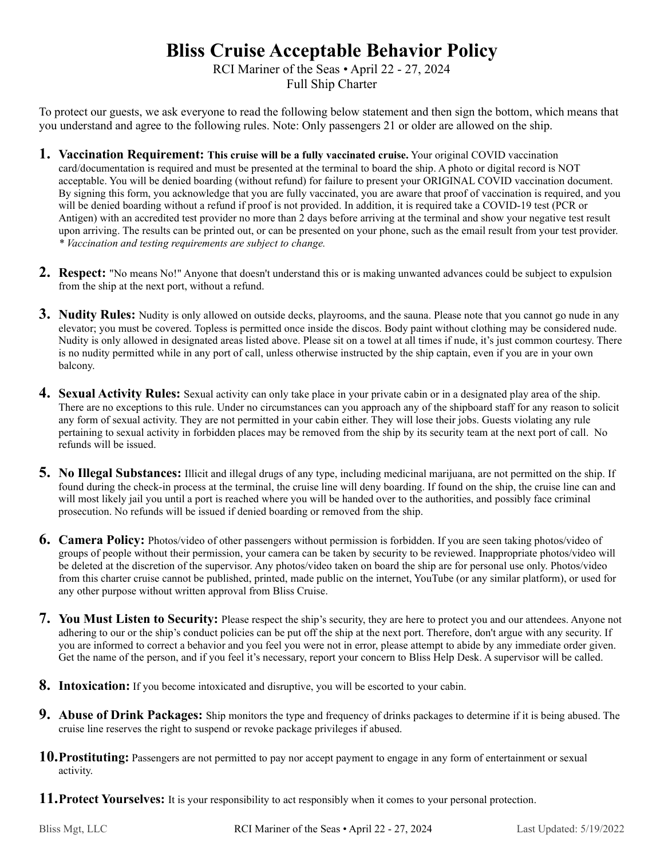## **Bliss Cruise Acceptable Behavior Policy**

RCI Mariner of the Seas • April 22 - 27, 2024 Full Ship Charter

To protect our guests, we ask everyone to read the following below statement and then sign the bottom, which means that you understand and agree to the following rules. Note: Only passengers 21 or older are allowed on the ship.

- **1. Vaccination Requirement: This cruise will be a fully vaccinated cruise.** Your original COVID vaccination card/documentation is required and must be presented at the terminal to board the ship. A photo or digital record is NOT acceptable. You will be denied boarding (without refund) for failure to present your ORIGINAL COVID vaccination document. By signing this form, you acknowledge that you are fully vaccinated, you are aware that proof of vaccination is required, and you will be denied boarding without a refund if proof is not provided. In addition, it is required take a COVID-19 test (PCR or Antigen) with an accredited test provider no more than 2 days before arriving at the terminal and show your negative test result upon arriving. The results can be printed out, or can be presented on your phone, such as the email result from your test provider. *\* Vaccination and testing requirements are subject to change.*
- **2. Respect:** "No means No!" Anyone that doesn't understand this or is making unwanted advances could be subject to expulsion from the ship at the next port, without a refund.
- **3. Nudity Rules:** Nudity is only allowed on outside decks, playrooms, and the sauna. Please note that you cannot go nude in any elevator; you must be covered. Topless is permitted once inside the discos. Body paint without clothing may be considered nude. Nudity is only allowed in designated areas listed above. Please sit on a towel at all times if nude, it's just common courtesy. There is no nudity permitted while in any port of call, unless otherwise instructed by the ship captain, even if you are in your own balcony.
- **4. Sexual Activity Rules:** Sexual activity can only take place in your private cabin or in a designated play area of the ship. There are no exceptions to this rule. Under no circumstances can you approach any of the shipboard staff for any reason to solicit any form of sexual activity. They are not permitted in your cabin either. They will lose their jobs. Guests violating any rule pertaining to sexual activity in forbidden places may be removed from the ship by its security team at the next port of call. No refunds will be issued.
- **5. No Illegal Substances:** Illicit and illegal drugs of any type, including medicinal marijuana, are not permitted on the ship. If found during the check-in process at the terminal, the cruise line will deny boarding. If found on the ship, the cruise line can and will most likely jail you until a port is reached where you will be handed over to the authorities, and possibly face criminal prosecution. No refunds will be issued if denied boarding or removed from the ship.
- **6. Camera Policy:** Photos/video of other passengers without permission is forbidden. If you are seen taking photos/video of groups of people without their permission, your camera can be taken by security to be reviewed. Inappropriate photos/video will be deleted at the discretion of the supervisor. Any photos/video taken on board the ship are for personal use only. Photos/video from this charter cruise cannot be published, printed, made public on the internet, YouTube (or any similar platform), or used for any other purpose without written approval from Bliss Cruise.
- **7. You Must Listen to Security:** Please respect the ship's security, they are here to protect you and our attendees. Anyone not adhering to our or the ship's conduct policies can be put off the ship at the next port. Therefore, don't argue with any security. If you are informed to correct a behavior and you feel you were not in error, please attempt to abide by any immediate order given. Get the name of the person, and if you feel it's necessary, report your concern to Bliss Help Desk. A supervisor will be called.
- **8. Intoxication:** If you become intoxicated and disruptive, you will be escorted to your cabin.
- **9. Abuse of Drink Packages:** Ship monitors the type and frequency of drinks packages to determine if it is being abused. The cruise line reserves the right to suspend or revoke package privileges if abused.
- **10.Prostituting:** Passengers are not permitted to pay nor accept payment to engage in any form of entertainment or sexual activity.
- **11.Protect Yourselves:** It is your responsibility to act responsibly when it comes to your personal protection.